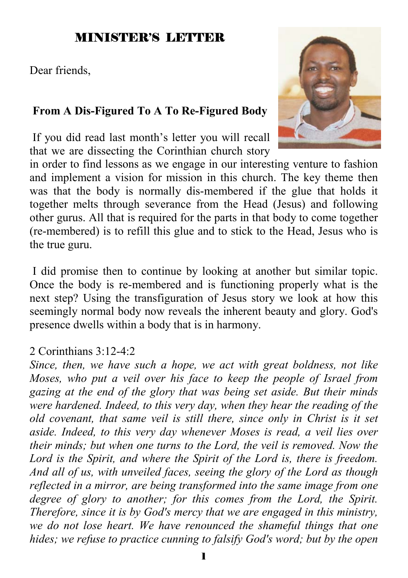### MINISTER'S LETTER

Dear friends,

#### **From A Dis-Figured To A To Re-Figured Body**

 If you did read last month's letter you will recall that we are dissecting the Corinthian church story

in order to find lessons as we engage in our interesting venture to fashion and implement a vision for mission in this church. The key theme then was that the body is normally dis-membered if the glue that holds it together melts through severance from the Head (Jesus) and following other gurus. All that is required for the parts in that body to come together (re-membered) is to refill this glue and to stick to the Head, Jesus who is the true guru.

 I did promise then to continue by looking at another but similar topic. Once the body is re-membered and is functioning properly what is the next step? Using the transfiguration of Jesus story we look at how this seemingly normal body now reveals the inherent beauty and glory. God's presence dwells within a body that is in harmony.

#### 2 Corinthians 3:12-4:2

*Since, then, we have such a hope, we act with great boldness, not like Moses, who put a veil over his face to keep the people of Israel from gazing at the end of the glory that was being set aside. But their minds were hardened. Indeed, to this very day, when they hear the reading of the old covenant, that same veil is still there, since only in Christ is it set aside. Indeed, to this very day whenever Moses is read, a veil lies over their minds; but when one turns to the Lord, the veil is removed. Now the Lord is the Spirit, and where the Spirit of the Lord is, there is freedom. And all of us, with unveiled faces, seeing the glory of the Lord as though reflected in a mirror, are being transformed into the same image from one degree of glory to another; for this comes from the Lord, the Spirit. Therefore, since it is by God's mercy that we are engaged in this ministry, we do not lose heart. We have renounced the shameful things that one hides; we refuse to practice cunning to falsify God's word; but by the open* 

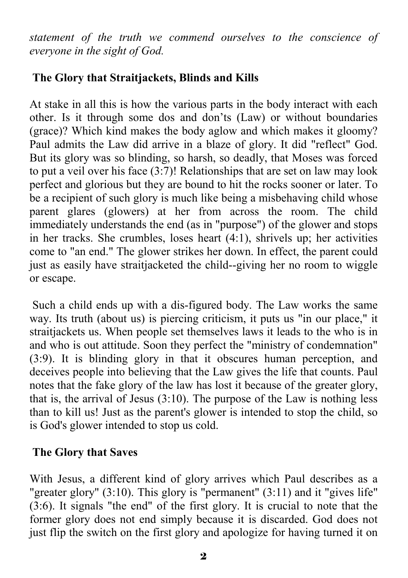*statement of the truth we commend ourselves to the conscience of everyone in the sight of God.* 

#### **The Glory that Straitjackets, Blinds and Kills**

At stake in all this is how the various parts in the body interact with each other. Is it through some dos and don'ts (Law) or without boundaries (grace)? Which kind makes the body aglow and which makes it gloomy? Paul admits the Law did arrive in a blaze of glory. It did "reflect" God. But its glory was so blinding, so harsh, so deadly, that Moses was forced to put a veil over his face (3:7)! Relationships that are set on law may look perfect and glorious but they are bound to hit the rocks sooner or later. To be a recipient of such glory is much like being a misbehaving child whose parent glares (glowers) at her from across the room. The child immediately understands the end (as in "purpose") of the glower and stops in her tracks. She crumbles, loses heart (4:1), shrivels up; her activities come to "an end." The glower strikes her down. In effect, the parent could just as easily have straitjacketed the child--giving her no room to wiggle or escape.

 Such a child ends up with a dis-figured body. The Law works the same way. Its truth (about us) is piercing criticism, it puts us "in our place," it straitjackets us. When people set themselves laws it leads to the who is in and who is out attitude. Soon they perfect the "ministry of condemnation" (3:9). It is blinding glory in that it obscures human perception, and deceives people into believing that the Law gives the life that counts. Paul notes that the fake glory of the law has lost it because of the greater glory, that is, the arrival of Jesus (3:10). The purpose of the Law is nothing less than to kill us! Just as the parent's glower is intended to stop the child, so is God's glower intended to stop us cold.

#### **The Glory that Saves**

With Jesus, a different kind of glory arrives which Paul describes as a "greater glory" (3:10). This glory is "permanent" (3:11) and it "gives life" (3:6). It signals "the end" of the first glory. It is crucial to note that the former glory does not end simply because it is discarded. God does not just flip the switch on the first glory and apologize for having turned it on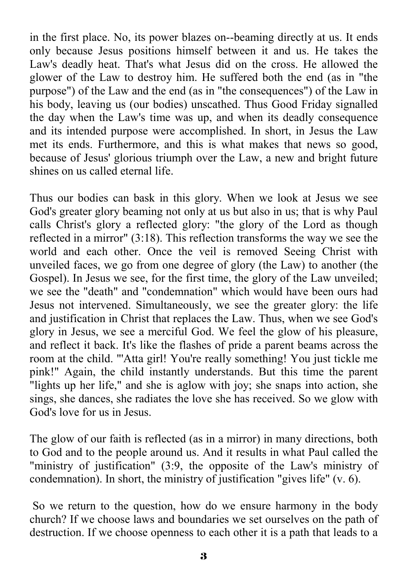in the first place. No, its power blazes on--beaming directly at us. It ends only because Jesus positions himself between it and us. He takes the Law's deadly heat. That's what Jesus did on the cross. He allowed the glower of the Law to destroy him. He suffered both the end (as in "the purpose") of the Law and the end (as in "the consequences") of the Law in his body, leaving us (our bodies) unscathed. Thus Good Friday signalled the day when the Law's time was up, and when its deadly consequence and its intended purpose were accomplished. In short, in Jesus the Law met its ends. Furthermore, and this is what makes that news so good, because of Jesus' glorious triumph over the Law, a new and bright future shines on us called eternal life.

Thus our bodies can bask in this glory. When we look at Jesus we see God's greater glory beaming not only at us but also in us; that is why Paul calls Christ's glory a reflected glory: "the glory of the Lord as though reflected in a mirror" (3:18). This reflection transforms the way we see the world and each other. Once the veil is removed Seeing Christ with unveiled faces, we go from one degree of glory (the Law) to another (the Gospel). In Jesus we see, for the first time, the glory of the Law unveiled; we see the "death" and "condemnation" which would have been ours had Jesus not intervened. Simultaneously, we see the greater glory: the life and justification in Christ that replaces the Law. Thus, when we see God's glory in Jesus, we see a merciful God. We feel the glow of his pleasure, and reflect it back. It's like the flashes of pride a parent beams across the room at the child. "'Atta girl! You're really something! You just tickle me pink!" Again, the child instantly understands. But this time the parent "lights up her life," and she is aglow with joy; she snaps into action, she sings, she dances, she radiates the love she has received. So we glow with God's love for us in Jesus.

The glow of our faith is reflected (as in a mirror) in many directions, both to God and to the people around us. And it results in what Paul called the "ministry of justification" (3:9, the opposite of the Law's ministry of condemnation). In short, the ministry of justification "gives life" (v. 6).

 So we return to the question, how do we ensure harmony in the body church? If we choose laws and boundaries we set ourselves on the path of destruction. If we choose openness to each other it is a path that leads to a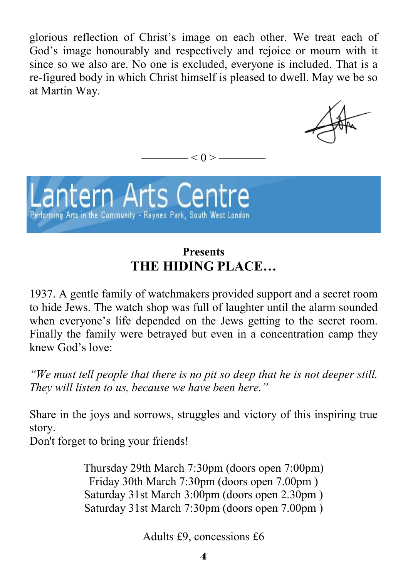glorious reflection of Christ's image on each other. We treat each of God's image honourably and respectively and rejoice or mourn with it since so we also are. No one is excluded, everyone is included. That is a re-figured body in which Christ himself is pleased to dwell. May we be so at Martin Way.

 $-$  < 0 >  $-$ 



## **Presents THE HIDING PLACE…**

1937. A gentle family of watchmakers provided support and a secret room to hide Jews. The watch shop was full of laughter until the alarm sounded when everyone's life depended on the Jews getting to the secret room. Finally the family were betrayed but even in a concentration camp they knew God's love:

*"We must tell people that there is no pit so deep that he is not deeper still. They will listen to us, because we have been here."* 

Share in the joys and sorrows, struggles and victory of this inspiring true story.

Don't forget to bring your friends!

Thursday 29th March 7:30pm (doors open 7:00pm) Friday 30th March 7:30pm (doors open 7.00pm ) Saturday 31st March 3:00pm (doors open 2.30pm ) Saturday 31st March 7:30pm (doors open 7.00pm )

Adults £9, concessions £6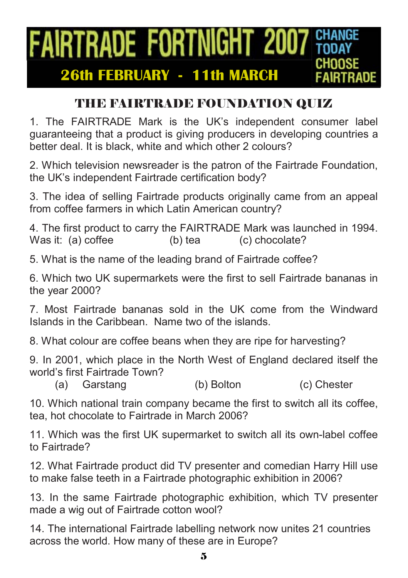### **FAIRTRADE FORTNIGHT 2007 GHANGE CHOOSE 26th FEBRUARY - 11th MARCH IRTRADE**

# THE FAIRTRADE FOUNDATION QUIZ

1. The FAIRTRADE Mark is the UK's independent consumer label guaranteeing that a product is giving producers in developing countries a better deal. It is black, white and which other 2 colours?

2. Which television newsreader is the patron of the Fairtrade Foundation, the UK's independent Fairtrade certification body?

3. The idea of selling Fairtrade products originally came from an appeal from coffee farmers in which Latin American country?

4. The first product to carry the FAIRTRADE Mark was launched in 1994. Was it: (a) coffee (b) tea (c) chocolate?

5. What is the name of the leading brand of Fairtrade coffee?

6. Which two UK supermarkets were the first to sell Fairtrade bananas in the year 2000?

7. Most Fairtrade bananas sold in the UK come from the Windward Islands in the Caribbean. Name two of the islands.

8. What colour are coffee beans when they are ripe for harvesting?

9. In 2001, which place in the North West of England declared itself the world's first Fairtrade Town?

(a) Garstang (b) Bolton (c) Chester

10. Which national train company became the first to switch all its coffee, tea, hot chocolate to Fairtrade in March 2006?

11. Which was the first UK supermarket to switch all its own-label coffee to Fairtrade?

12. What Fairtrade product did TV presenter and comedian Harry Hill use to make false teeth in a Fairtrade photographic exhibition in 2006?

13. In the same Fairtrade photographic exhibition, which TV presenter made a wig out of Fairtrade cotton wool?

14. The international Fairtrade labelling network now unites 21 countries across the world. How many of these are in Europe?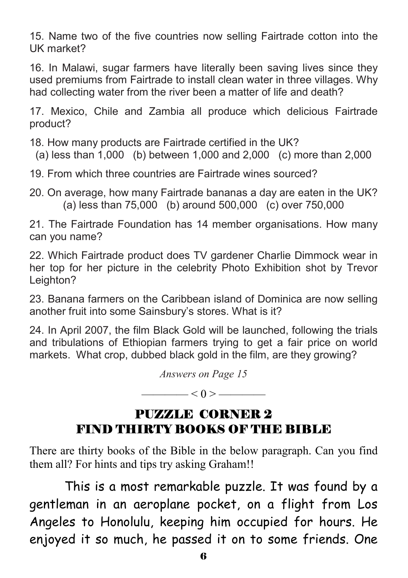15. Name two of the five countries now selling Fairtrade cotton into the UK market?

16. In Malawi, sugar farmers have literally been saving lives since they used premiums from Fairtrade to install clean water in three villages. Why had collecting water from the river been a matter of life and death?

17. Mexico, Chile and Zambia all produce which delicious Fairtrade product?

18. How many products are Fairtrade certified in the UK?

(a) less than 1,000 (b) between 1,000 and 2,000 (c) more than 2,000

19. From which three countries are Fairtrade wines sourced?

20. On average, how many Fairtrade bananas a day are eaten in the UK? (a) less than 75,000 (b) around 500,000 (c) over 750,000

21. The Fairtrade Foundation has 14 member organisations. How many can you name?

22. Which Fairtrade product does TV gardener Charlie Dimmock wear in her top for her picture in the celebrity Photo Exhibition shot by Trevor Leighton?

23. Banana farmers on the Caribbean island of Dominica are now selling another fruit into some Sainsbury's stores. What is it?

24. In April 2007, the film Black Gold will be launched, following the trials and tribulations of Ethiopian farmers trying to get a fair price on world markets. What crop, dubbed black gold in the film, are they growing?

*Answers on Page 15* 

 $< 0 >$  ——

## PUZZLE CORNER 2 FIND THIRTY BOOKS OF THE BIBLE

There are thirty books of the Bible in the below paragraph. Can you find them all? For hints and tips try asking Graham!!

 This is a most remarkable puzzle. It was found by a gentleman in an aeroplane pocket, on a flight from Los Angeles to Honolulu, keeping him occupied for hours. He enjoyed it so much, he passed it on to some friends. One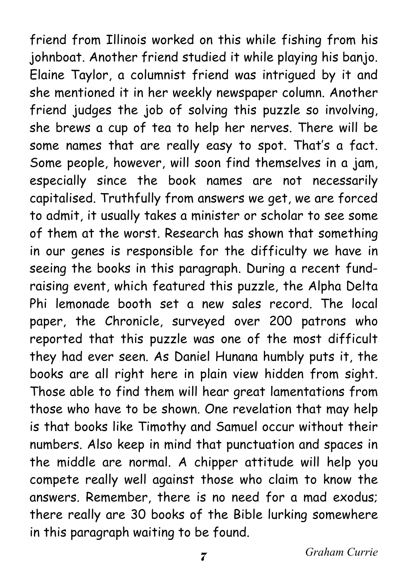friend from Illinois worked on this while fishing from his johnboat. Another friend studied it while playing his banjo. Elaine Taylor, a columnist friend was intrigued by it and she mentioned it in her weekly newspaper column. Another friend judges the job of solving this puzzle so involving, she brews a cup of tea to help her nerves. There will be some names that are really easy to spot. That's a fact. Some people, however, will soon find themselves in a jam, especially since the book names are not necessarily capitalised. Truthfully from answers we get, we are forced to admit, it usually takes a minister or scholar to see some of them at the worst. Research has shown that something in our genes is responsible for the difficulty we have in seeing the books in this paragraph. During a recent fundraising event, which featured this puzzle, the Alpha Delta Phi lemonade booth set a new sales record. The local paper, the Chronicle, surveyed over 200 patrons who reported that this puzzle was one of the most difficult they had ever seen. As Daniel Hunana humbly puts it, the books are all right here in plain view hidden from sight. Those able to find them will hear great lamentations from those who have to be shown. One revelation that may help is that books like Timothy and Samuel occur without their numbers. Also keep in mind that punctuation and spaces in the middle are normal. A chipper attitude will help you compete really well against those who claim to know the answers. Remember, there is no need for a mad exodus; there really are 30 books of the Bible lurking somewhere in this paragraph waiting to be found.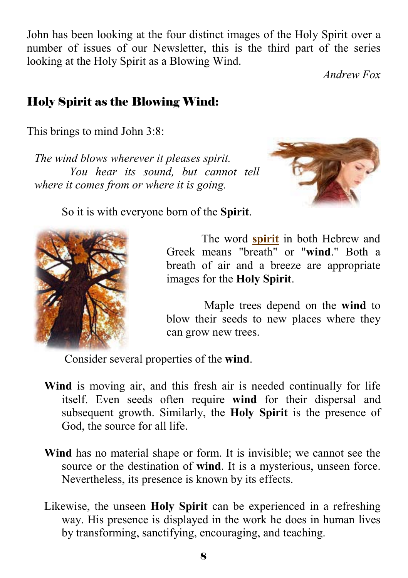John has been looking at the four distinct images of the Holy Spirit over a number of issues of our Newsletter, this is the third part of the series looking at the Holy Spirit as a Blowing Wind.

*Andrew Fox* 

# Holy Spirit as the Blowing Wind:

This brings to mind John 3:8:

*The wind blows wherever it pleases spirit. You hear its sound, but cannot tell where it comes from or where it is going.* 



So it is with everyone born of the **Spirit**.



The word **spirit** in both Hebrew and Greek means "breath" or "**wind**." Both a breath of air and a breeze are appropriate images for the **Holy Spirit**.

 Maple trees depend on the **wind** to blow their seeds to new places where they can grow new trees.

Consider several properties of the **wind**.

- **Wind** is moving air, and this fresh air is needed continually for life itself. Even seeds often require **wind** for their dispersal and subsequent growth. Similarly, the **Holy Spirit** is the presence of God, the source for all life.
- **Wind** has no material shape or form. It is invisible; we cannot see the source or the destination of **wind**. It is a mysterious, unseen force. Nevertheless, its presence is known by its effects.
- Likewise, the unseen **Holy Spirit** can be experienced in a refreshing way. His presence is displayed in the work he does in human lives by transforming, sanctifying, encouraging, and teaching.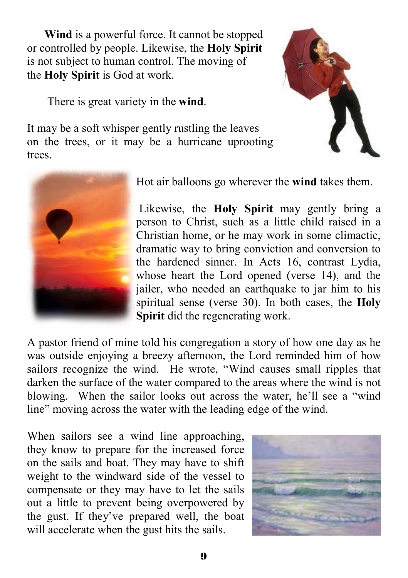**Wind** is a powerful force. It cannot be stopped or controlled by people. Likewise, the **Holy Spirit** is not subject to human control. The moving of the **Holy Spirit** is God at work.

It may be a soft whisper gently rustling the leaves

There is great variety in the **wind**.

on the trees, or it may be a hurricane uprooting



trees.

Hot air balloons go wherever the **wind** takes them.

 Likewise, the **Holy Spirit** may gently bring a person to Christ, such as a little child raised in a Christian home, or he may work in some climactic, dramatic way to bring conviction and conversion to the hardened sinner. In Acts 16, contrast Lydia, whose heart the Lord opened (verse 14), and the jailer, who needed an earthquake to jar him to his spiritual sense (verse 30). In both cases, the **Holy Spirit** did the regenerating work.

A pastor friend of mine told his congregation a story of how one day as he was outside enjoying a breezy afternoon, the Lord reminded him of how sailors recognize the wind. He wrote, "Wind causes small ripples that darken the surface of the water compared to the areas where the wind is not blowing. When the sailor looks out across the water, he'll see a "wind line" moving across the water with the leading edge of the wind.

When sailors see a wind line approaching, they know to prepare for the increased force on the sails and boat. They may have to shift weight to the windward side of the vessel to compensate or they may have to let the sails out a little to prevent being overpowered by the gust. If they've prepared well, the boat will accelerate when the gust hits the sails.

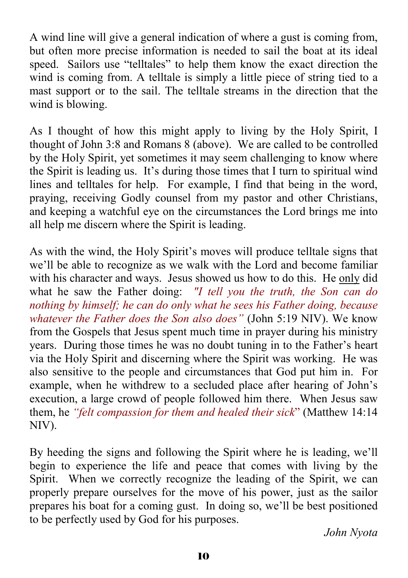A wind line will give a general indication of where a gust is coming from, but often more precise information is needed to sail the boat at its ideal speed. Sailors use "telltales" to help them know the exact direction the wind is coming from. A telltale is simply a little piece of string tied to a mast support or to the sail. The telltale streams in the direction that the wind is blowing.

As I thought of how this might apply to living by the Holy Spirit, I thought of John 3:8 and Romans 8 (above). We are called to be controlled by the Holy Spirit, yet sometimes it may seem challenging to know where the Spirit is leading us. It's during those times that I turn to spiritual wind lines and telltales for help. For example, I find that being in the word, praying, receiving Godly counsel from my pastor and other Christians, and keeping a watchful eye on the circumstances the Lord brings me into all help me discern where the Spirit is leading.

As with the wind, the Holy Spirit's moves will produce telltale signs that we'll be able to recognize as we walk with the Lord and become familiar with his character and ways. Jesus showed us how to do this. He only did what he saw the Father doing: *"I tell you the truth, the Son can do nothing by himself; he can do only what he sees his Father doing, because whatever the Father does the Son also does"* (John 5:19 NIV). We know from the Gospels that Jesus spent much time in prayer during his ministry years. During those times he was no doubt tuning in to the Father's heart via the Holy Spirit and discerning where the Spirit was working. He was also sensitive to the people and circumstances that God put him in. For example, when he withdrew to a secluded place after hearing of John's execution, a large crowd of people followed him there. When Jesus saw them, he *"felt compassion for them and healed their sick*" (Matthew 14:14 NIV).

By heeding the signs and following the Spirit where he is leading, we'll begin to experience the life and peace that comes with living by the Spirit. When we correctly recognize the leading of the Spirit, we can properly prepare ourselves for the move of his power, just as the sailor prepares his boat for a coming gust. In doing so, we'll be best positioned to be perfectly used by God for his purposes.

*John Nyota*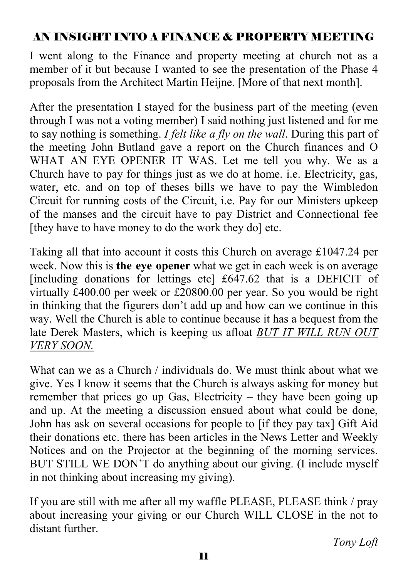### AN INSIGHT INTO A FINANCE & PROPERTY MEETING

I went along to the Finance and property meeting at church not as a member of it but because I wanted to see the presentation of the Phase 4 proposals from the Architect Martin Heijne. [More of that next month].

After the presentation I stayed for the business part of the meeting (even through I was not a voting member) I said nothing just listened and for me to say nothing is something. *I felt like a fly on the wall*. During this part of the meeting John Butland gave a report on the Church finances and O WHAT AN EYE OPENER IT WAS. Let me tell you why. We as a Church have to pay for things just as we do at home. i.e. Electricity, gas, water, etc. and on top of theses bills we have to pay the Wimbledon Circuit for running costs of the Circuit, i.e. Pay for our Ministers upkeep of the manses and the circuit have to pay District and Connectional fee [they have to have money to do the work they do] etc.

Taking all that into account it costs this Church on average £1047.24 per week. Now this is **the eye opener** what we get in each week is on average [including donations for lettings etc] £647.62 that is a DEFICIT of virtually £400.00 per week or £20800.00 per year. So you would be right in thinking that the figurers don't add up and how can we continue in this way. Well the Church is able to continue because it has a bequest from the late Derek Masters, which is keeping us afloat *BUT IT WILL RUN OUT VERY SOON.*

What can we as a Church / individuals do. We must think about what we give. Yes I know it seems that the Church is always asking for money but remember that prices go up Gas, Electricity – they have been going up and up. At the meeting a discussion ensued about what could be done, John has ask on several occasions for people to [if they pay tax] Gift Aid their donations etc. there has been articles in the News Letter and Weekly Notices and on the Projector at the beginning of the morning services. BUT STILL WE DON'T do anything about our giving. (I include myself in not thinking about increasing my giving).

If you are still with me after all my waffle PLEASE, PLEASE think / pray about increasing your giving or our Church WILL CLOSE in the not to distant further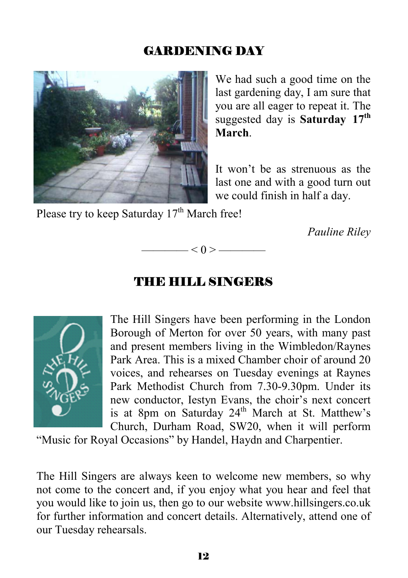### GARDENING DAY



We had such a good time on the last gardening day, I am sure that you are all eager to repeat it. The suggested day is **Saturday 17th March**.

It won't be as strenuous as the last one and with a good turn out we could finish in half a day.

Please try to keep Saturday  $17<sup>th</sup>$  March free!

*Pauline Riley* 

#### THE HILL SINGERS

 $- < 0 > -$ 



The Hill Singers have been performing in the London Borough of Merton for over 50 years, with many past and present members living in the Wimbledon/Raynes Park Area. This is a mixed Chamber choir of around 20 voices, and rehearses on Tuesday evenings at Raynes Park Methodist Church from 7.30-9.30pm. Under its new conductor, Iestyn Evans, the choir's next concert is at 8pm on Saturday  $24<sup>th</sup>$  March at St. Matthew's Church, Durham Road, SW20, when it will perform

"Music for Royal Occasions" by Handel, Haydn and Charpentier.

The Hill Singers are always keen to welcome new members, so why not come to the concert and, if you enjoy what you hear and feel that you would like to join us, then go to our website www.hillsingers.co.uk for further information and concert details. Alternatively, attend one of our Tuesday rehearsals.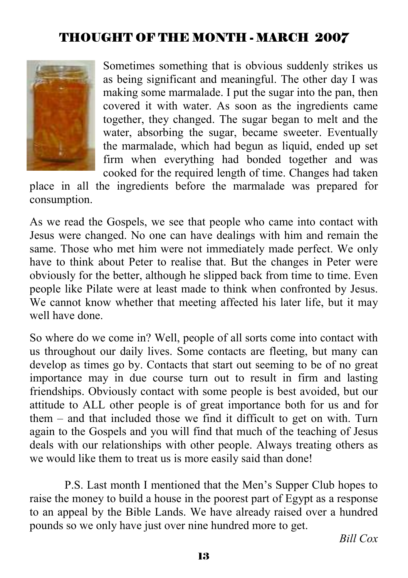## THOUGHT OF THE MONTH - MARCH 2007



Sometimes something that is obvious suddenly strikes us as being significant and meaningful. The other day I was making some marmalade. I put the sugar into the pan, then covered it with water. As soon as the ingredients came together, they changed. The sugar began to melt and the water, absorbing the sugar, became sweeter. Eventually the marmalade, which had begun as liquid, ended up set firm when everything had bonded together and was cooked for the required length of time. Changes had taken

place in all the ingredients before the marmalade was prepared for consumption.

As we read the Gospels, we see that people who came into contact with Jesus were changed. No one can have dealings with him and remain the same. Those who met him were not immediately made perfect. We only have to think about Peter to realise that. But the changes in Peter were obviously for the better, although he slipped back from time to time. Even people like Pilate were at least made to think when confronted by Jesus. We cannot know whether that meeting affected his later life, but it may well have done.

So where do we come in? Well, people of all sorts come into contact with us throughout our daily lives. Some contacts are fleeting, but many can develop as times go by. Contacts that start out seeming to be of no great importance may in due course turn out to result in firm and lasting friendships. Obviously contact with some people is best avoided, but our attitude to ALL other people is of great importance both for us and for them – and that included those we find it difficult to get on with. Turn again to the Gospels and you will find that much of the teaching of Jesus deals with our relationships with other people. Always treating others as we would like them to treat us is more easily said than done!

 P.S. Last month I mentioned that the Men's Supper Club hopes to raise the money to build a house in the poorest part of Egypt as a response to an appeal by the Bible Lands. We have already raised over a hundred pounds so we only have just over nine hundred more to get.

*Bill Cox*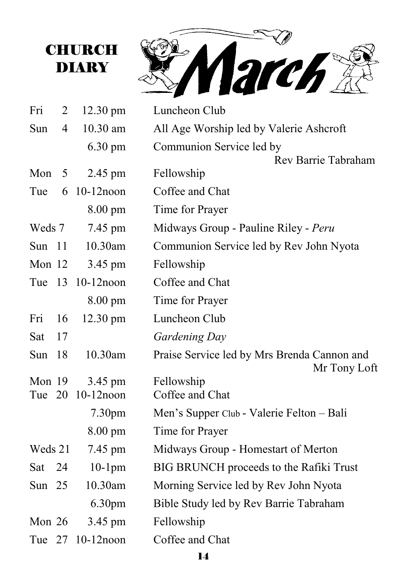

| Fri           | 2              | $12.30 \text{ pm}$      | Luncheon Club                               |  |
|---------------|----------------|-------------------------|---------------------------------------------|--|
| Sun           | $\overline{4}$ | 10.30 am                | All Age Worship led by Valerie Ashcroft     |  |
|               |                | $6.30 \text{ pm}$       | Communion Service led by                    |  |
|               |                |                         | Rev Barrie Tabraham                         |  |
| Mon           | 5              | 2.45 pm                 | Fellowship                                  |  |
| Tue           | 6              | $10-12$ noon            | Coffee and Chat                             |  |
|               |                | $8.00 \text{ pm}$       | Time for Prayer                             |  |
| Weds 7        |                | 7.45 pm                 | Midways Group - Pauline Riley - Peru        |  |
| Sun $11$      |                | 10.30am                 | Communion Service led by Rev John Nyota     |  |
| Mon 12        |                | 3.45 pm                 | Fellowship                                  |  |
|               |                | Tue 13 10-12 noon       | Coffee and Chat                             |  |
|               |                | 8.00 pm                 | Time for Prayer                             |  |
| Fri           | 16             | 12.30 pm                | Luncheon Club                               |  |
| Sat           | 17             |                         | Gardening Day                               |  |
| Sun           | 18             | 10.30am                 | Praise Service led by Mrs Brenda Cannon and |  |
|               |                |                         | Mr Tony Loft                                |  |
| Mon 19<br>Tue | 20             | 3.45 pm<br>$10-12$ noon | Fellowship<br>Coffee and Chat               |  |
|               |                |                         |                                             |  |
|               |                | 7.30 <sub>pm</sub>      | Men's Supper Club - Valerie Felton - Bali   |  |
|               |                | $8.00 \text{ pm}$       | Time for Prayer                             |  |
| Weds 21       |                | 7.45 pm                 | Midways Group - Homestart of Merton         |  |
| Sat           | 24             | $10-1$ pm               | BIG BRUNCH proceeds to the Rafiki Trust     |  |
| Sun $25$      |                | 10.30am                 | Morning Service led by Rev John Nyota       |  |
|               |                | 6.30 <sub>pm</sub>      | Bible Study led by Rev Barrie Tabraham      |  |
| Mon $26$      |                | 3.45 pm                 | Fellowship                                  |  |
| Tue 27        |                | $10-12$ noon            | Coffee and Chat                             |  |
|               |                |                         |                                             |  |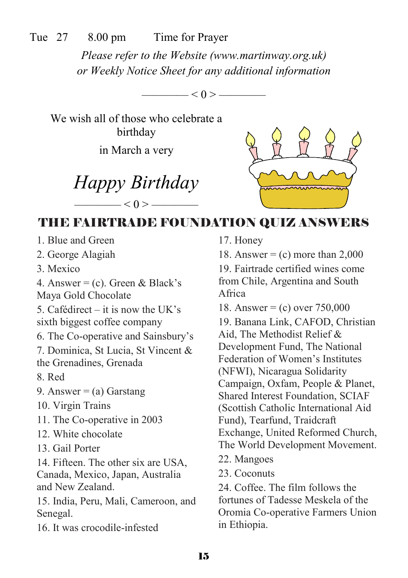Tue 27 8.00 pm Time for Prayer

*Please refer to the Website (www.martinway.org.uk) or Weekly Notice Sheet for any additional information* 

—— $< 0 > -$ 

We wish all of those who celebrate a birthday

in March a very

*Happy Birthday*   $<$  0 >  $-$ 



# THE FAIRTRADE FOUNDATION QUIZ ANSWERS

- 1. Blue and Green
- 2. George Alagiah
- 3. Mexico

4. Answer = (c). Green & Black's Maya Gold Chocolate

5. Cafédirect – it is now the UK's sixth biggest coffee company

6. The Co-operative and Sainsbury's

7. Dominica, St Lucia, St Vincent & the Grenadines, Grenada

8. Red

- 9. Answer  $=$  (a) Garstang
- 10. Virgin Trains
- 11. The Co-operative in 2003
- 12. White chocolate
- 13. Gail Porter

14. Fifteen. The other six are USA, Canada, Mexico, Japan, Australia and New Zealand.

15. India, Peru, Mali, Cameroon, and Senegal.

16. It was crocodile-infested

17. Honey

18. Answer =  $(c)$  more than 2,000

19. Fairtrade certified wines come from Chile, Argentina and South Africa

18. Answer = (c) over 750,000

19. Banana Link, CAFOD, Christian Aid, The Methodist Relief & Development Fund, The National Federation of Women's Institutes (NFWI), Nicaragua Solidarity Campaign, Oxfam, People & Planet, Shared Interest Foundation, SCIAF (Scottish Catholic International Aid Fund), Tearfund, Traidcraft Exchange, United Reformed Church, The World Development Movement.

- 22. Mangoes
- 23. Coconuts

24. Coffee. The film follows the fortunes of Tadesse Meskela of the Oromia Co-operative Farmers Union in Ethiopia.